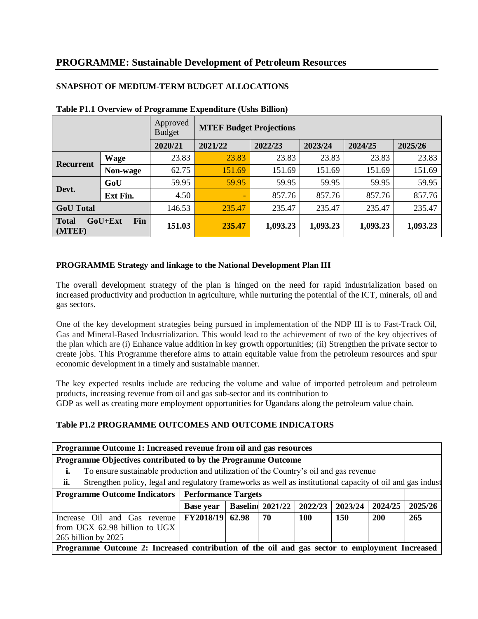|                                          |             | Approved<br><b>Budget</b> | <b>MTEF Budget Projections</b> |          |          |          |          |  |  |
|------------------------------------------|-------------|---------------------------|--------------------------------|----------|----------|----------|----------|--|--|
|                                          |             | 2020/21                   | 2021/22                        | 2022/23  | 2023/24  | 2024/25  | 2025/26  |  |  |
|                                          | <b>Wage</b> | 23.83                     | 23.83                          | 23.83    | 23.83    | 23.83    | 23.83    |  |  |
| Recurrent                                | Non-wage    | 62.75                     | 151.69                         | 151.69   | 151.69   | 151.69   | 151.69   |  |  |
|                                          | GoU         | 59.95                     | 59.95                          | 59.95    | 59.95    | 59.95    | 59.95    |  |  |
| Devt.                                    | Ext Fin.    | 4.50                      | $\overline{\phantom{a}}$       | 857.76   | 857.76   | 857.76   | 857.76   |  |  |
| <b>GoU</b> Total                         |             | 146.53                    | 235.47                         | 235.47   | 235.47   | 235.47   | 235.47   |  |  |
| Fin<br>GoU+Ext<br><b>Total</b><br>(MTEF) |             | 151.03                    | 235.47                         | 1,093.23 | 1,093.23 | 1,093.23 | 1,093.23 |  |  |

# **SNAPSHOT OF MEDIUM-TERM BUDGET ALLOCATIONS**

## **Table P1.1 Overview of Programme Expenditure (Ushs Billion)**

## **PROGRAMME Strategy and linkage to the National Development Plan III**

The overall development strategy of the plan is hinged on the need for rapid industrialization based on increased productivity and production in agriculture, while nurturing the potential of the ICT, minerals, oil and gas sectors.

One of the key development strategies being pursued in implementation of the NDP III is to Fast-Track Oil, Gas and Mineral-Based Industrialization. This would lead to the achievement of two of the key objectives of the plan which are (i) Enhance value addition in key growth opportunities; (ii) Strengthen the private sector to create jobs. This Programme therefore aims to attain equitable value from the petroleum resources and spur economic development in a timely and sustainable manner.

The key expected results include are reducing the volume and value of imported petroleum and petroleum products, increasing revenue from oil and gas sub-sector and its contribution to GDP as well as creating more employment opportunities for Ugandans along the petroleum value chain.

## **Table P1.2 PROGRAMME OUTCOMES AND OUTCOME INDICATORS**

| Programme Outcome 1: Increased revenue from oil and gas resources                                                 |                                                                                       |  |                         |         |         |            |         |  |
|-------------------------------------------------------------------------------------------------------------------|---------------------------------------------------------------------------------------|--|-------------------------|---------|---------|------------|---------|--|
| Programme Objectives contributed to by the Programme Outcome                                                      |                                                                                       |  |                         |         |         |            |         |  |
| ı.                                                                                                                | To ensure sustainable production and utilization of the Country's oil and gas revenue |  |                         |         |         |            |         |  |
| Strengthen policy, legal and regulatory frameworks as well as institutional capacity of oil and gas indust<br>ii. |                                                                                       |  |                         |         |         |            |         |  |
| <b>Programme Outcome Indicators   Performance Targets</b>                                                         |                                                                                       |  |                         |         |         |            |         |  |
|                                                                                                                   | <b>Base year</b>                                                                      |  | <b>Baseline</b> 2021/22 | 2022/23 | 2023/24 | 2024/25    | 2025/26 |  |
| Increase Oil and Gas revenue                                                                                      | FY2018/19 62.98                                                                       |  | 70                      | 100     | 150     | <b>200</b> | 265     |  |
| from UGX 62.98 billion to UGX                                                                                     |                                                                                       |  |                         |         |         |            |         |  |
| 265 billion by 2025                                                                                               |                                                                                       |  |                         |         |         |            |         |  |
| Programme Outcome 2: Increased contribution of the oil and gas sector to employment Increased                     |                                                                                       |  |                         |         |         |            |         |  |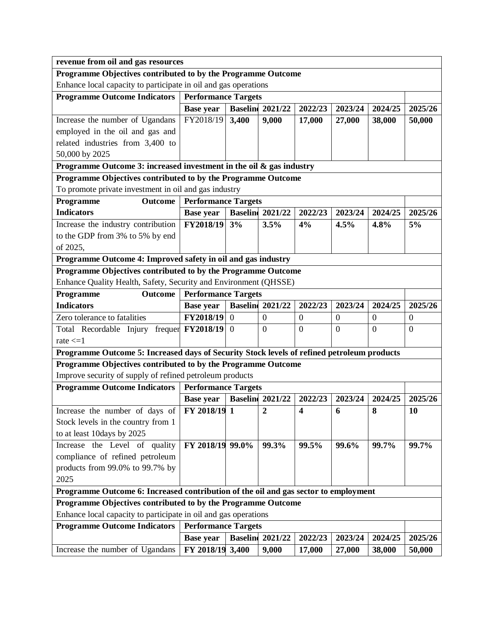|                                                                                            | revenue from oil and gas resources |                |                         |                         |                  |                  |                |  |  |
|--------------------------------------------------------------------------------------------|------------------------------------|----------------|-------------------------|-------------------------|------------------|------------------|----------------|--|--|
| Programme Objectives contributed to by the Programme Outcome                               |                                    |                |                         |                         |                  |                  |                |  |  |
| Enhance local capacity to participate in oil and gas operations                            |                                    |                |                         |                         |                  |                  |                |  |  |
| <b>Programme Outcome Indicators</b>                                                        | <b>Performance Targets</b>         |                |                         |                         |                  |                  |                |  |  |
|                                                                                            | <b>Base year</b>                   |                | <b>Baseline</b> 2021/22 | 2022/23                 | 2023/24          | 2024/25          | 2025/26        |  |  |
| Increase the number of Ugandans                                                            | FY2018/19                          | 3,400          | 9,000                   | 17,000                  | 27,000           | 38,000           | 50,000         |  |  |
| employed in the oil and gas and                                                            |                                    |                |                         |                         |                  |                  |                |  |  |
| related industries from 3,400 to                                                           |                                    |                |                         |                         |                  |                  |                |  |  |
| 50,000 by 2025                                                                             |                                    |                |                         |                         |                  |                  |                |  |  |
| Programme Outcome 3: increased investment in the oil $\&$ gas industry                     |                                    |                |                         |                         |                  |                  |                |  |  |
| Programme Objectives contributed to by the Programme Outcome                               |                                    |                |                         |                         |                  |                  |                |  |  |
| To promote private investment in oil and gas industry                                      |                                    |                |                         |                         |                  |                  |                |  |  |
| Programme<br>Outcome                                                                       | <b>Performance Targets</b>         |                |                         |                         |                  |                  |                |  |  |
| <b>Indicators</b>                                                                          | <b>Base year</b>                   |                | <b>Baseline</b> 2021/22 | 2022/23                 | 2023/24          | 2024/25          | 2025/26        |  |  |
| Increase the industry contribution                                                         | FY2018/19                          | 3%             | 3.5%                    | 4%                      | 4.5%             | 4.8%             | 5%             |  |  |
| to the GDP from 3% to 5% by end                                                            |                                    |                |                         |                         |                  |                  |                |  |  |
| of 2025,                                                                                   |                                    |                |                         |                         |                  |                  |                |  |  |
| Programme Outcome 4: Improved safety in oil and gas industry                               |                                    |                |                         |                         |                  |                  |                |  |  |
| Programme Objectives contributed to by the Programme Outcome                               |                                    |                |                         |                         |                  |                  |                |  |  |
| Enhance Quality Health, Safety, Security and Environment (QHSSE)                           |                                    |                |                         |                         |                  |                  |                |  |  |
| Programme<br>Outcome                                                                       | <b>Performance Targets</b>         |                |                         |                         |                  |                  |                |  |  |
| <b>Indicators</b>                                                                          | <b>Base year</b>                   |                | <b>Baseline</b> 2021/22 | 2022/23                 | 2023/24          | 2024/25          | 2025/26        |  |  |
| Zero tolerance to fatalities                                                               | FY2018/19                          | $\overline{0}$ | $\mathbf{0}$            | $\boldsymbol{0}$        | $\boldsymbol{0}$ | $\boldsymbol{0}$ | $\overline{0}$ |  |  |
| Total Recordable Injury frequen FY2018/19                                                  |                                    | $\theta$       | $\theta$                | $\theta$                | $\theta$         | $\overline{0}$   | $\theta$       |  |  |
| rate $\leq 1$                                                                              |                                    |                |                         |                         |                  |                  |                |  |  |
| Programme Outcome 5: Increased days of Security Stock levels of refined petroleum products |                                    |                |                         |                         |                  |                  |                |  |  |
| Programme Objectives contributed to by the Programme Outcome                               |                                    |                |                         |                         |                  |                  |                |  |  |
| Improve security of supply of refined petroleum products                                   |                                    |                |                         |                         |                  |                  |                |  |  |
| <b>Programme Outcome Indicators</b>                                                        | <b>Performance Targets</b>         |                |                         |                         |                  |                  |                |  |  |
|                                                                                            | <b>Base year</b>                   |                | <b>Baseline</b> 2021/22 | 2022/23                 | 2023/24          | 2024/25          | 2025/26        |  |  |
| Increase the number of days of                                                             | FY 2018/19 1                       |                | $\overline{2}$          | $\overline{\mathbf{4}}$ | 6                | 8                | 10             |  |  |
| Stock levels in the country from 1                                                         |                                    |                |                         |                         |                  |                  |                |  |  |
| to at least 10days by 2025                                                                 |                                    |                |                         |                         |                  |                  |                |  |  |
| Increase the Level of quality                                                              | FY 2018/19 99.0%                   |                | 99.3%                   | 99.5%                   | 99.6%            | 99.7%            | 99.7%          |  |  |
| compliance of refined petroleum                                                            |                                    |                |                         |                         |                  |                  |                |  |  |
| products from 99.0% to 99.7% by                                                            |                                    |                |                         |                         |                  |                  |                |  |  |
| 2025                                                                                       |                                    |                |                         |                         |                  |                  |                |  |  |
| Programme Outcome 6: Increased contribution of the oil and gas sector to employment        |                                    |                |                         |                         |                  |                  |                |  |  |
| Programme Objectives contributed to by the Programme Outcome                               |                                    |                |                         |                         |                  |                  |                |  |  |
| Enhance local capacity to participate in oil and gas operations                            |                                    |                |                         |                         |                  |                  |                |  |  |
| <b>Programme Outcome Indicators</b>                                                        | <b>Performance Targets</b>         |                |                         |                         |                  |                  |                |  |  |
|                                                                                            | <b>Base year</b>                   |                | <b>Baseline</b> 2021/22 | 2022/23                 | 2023/24          | 2024/25          | 2025/26        |  |  |
| Increase the number of Ugandans                                                            | FY 2018/19 3,400                   |                | 9,000                   | 17,000                  | 27,000           | 38,000           | 50,000         |  |  |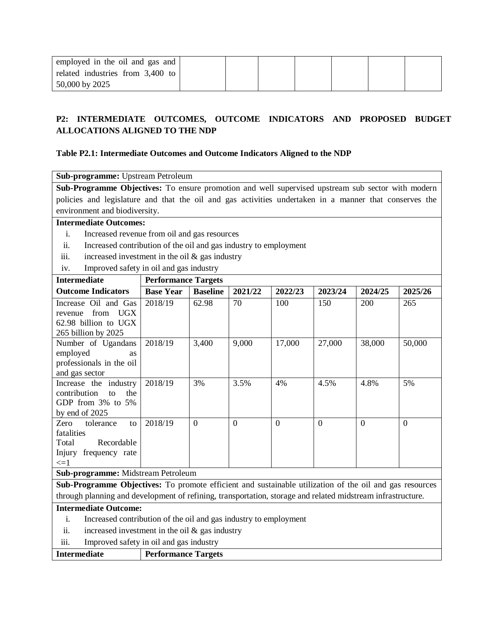| employed in the oil and gas and  |  |  |  |  |
|----------------------------------|--|--|--|--|
| related industries from 3,400 to |  |  |  |  |
| 50,000 by 2025                   |  |  |  |  |

# **P2: INTERMEDIATE OUTCOMES, OUTCOME INDICATORS AND PROPOSED BUDGET ALLOCATIONS ALIGNED TO THE NDP**

### **Table P2.1: Intermediate Outcomes and Outcome Indicators Aligned to the NDP**

| Sub-programme: Upstream Petroleum                                                                           |                                                                                                                                               |                 |          |          |          |                |                |  |  |
|-------------------------------------------------------------------------------------------------------------|-----------------------------------------------------------------------------------------------------------------------------------------------|-----------------|----------|----------|----------|----------------|----------------|--|--|
| Sub-Programme Objectives: To ensure promotion and well supervised upstream sub sector with modern           |                                                                                                                                               |                 |          |          |          |                |                |  |  |
|                                                                                                             | policies and legislature and that the oil and gas activities undertaken in a manner that conserves the                                        |                 |          |          |          |                |                |  |  |
| environment and biodiversity.                                                                               |                                                                                                                                               |                 |          |          |          |                |                |  |  |
| <b>Intermediate Outcomes:</b>                                                                               |                                                                                                                                               |                 |          |          |          |                |                |  |  |
| i.<br>Increased revenue from oil and gas resources                                                          |                                                                                                                                               |                 |          |          |          |                |                |  |  |
| ii.<br>Increased contribution of the oil and gas industry to employment                                     |                                                                                                                                               |                 |          |          |          |                |                |  |  |
| increased investment in the oil $\&$ gas industry<br>iii.                                                   |                                                                                                                                               |                 |          |          |          |                |                |  |  |
| Improved safety in oil and gas industry<br>iv.                                                              |                                                                                                                                               |                 |          |          |          |                |                |  |  |
| <b>Intermediate</b>                                                                                         | <b>Performance Targets</b>                                                                                                                    |                 |          |          |          |                |                |  |  |
| <b>Outcome Indicators</b>                                                                                   | <b>Base Year</b>                                                                                                                              | <b>Baseline</b> | 2021/22  | 2022/23  | 2023/24  | 2024/25        | 2025/26        |  |  |
| Increase Oil and Gas                                                                                        | 2018/19                                                                                                                                       | 62.98           | 70       | 100      | 150      | 200            | 265            |  |  |
| <b>UGX</b><br>from<br>revenue                                                                               |                                                                                                                                               |                 |          |          |          |                |                |  |  |
| 62.98 billion to UGX                                                                                        |                                                                                                                                               |                 |          |          |          |                |                |  |  |
| 265 billion by 2025                                                                                         |                                                                                                                                               |                 |          |          |          |                |                |  |  |
| Number of Ugandans                                                                                          | 2018/19                                                                                                                                       | 3,400           | 9,000    | 17,000   | 27,000   | 38,000         | 50,000         |  |  |
| employed<br><b>as</b>                                                                                       |                                                                                                                                               |                 |          |          |          |                |                |  |  |
| professionals in the oil                                                                                    |                                                                                                                                               |                 |          |          |          |                |                |  |  |
| and gas sector                                                                                              |                                                                                                                                               |                 |          |          |          |                |                |  |  |
| Increase the industry                                                                                       | 2018/19                                                                                                                                       | 3%              | 3.5%     | 4%       | 4.5%     | 4.8%           | 5%             |  |  |
| contribution<br>the<br>f <sub>O</sub>                                                                       |                                                                                                                                               |                 |          |          |          |                |                |  |  |
| GDP from 3% to 5%                                                                                           |                                                                                                                                               |                 |          |          |          |                |                |  |  |
| by end of 2025                                                                                              |                                                                                                                                               |                 |          |          |          |                |                |  |  |
| tolerance<br>Zero<br>to                                                                                     | 2018/19                                                                                                                                       | $\theta$        | $\Omega$ | $\Omega$ | $\Omega$ | $\overline{0}$ | $\overline{0}$ |  |  |
| fatalities                                                                                                  |                                                                                                                                               |                 |          |          |          |                |                |  |  |
| Recordable<br>Total                                                                                         |                                                                                                                                               |                 |          |          |          |                |                |  |  |
| Injury frequency rate<br>$\leq$ =1                                                                          |                                                                                                                                               |                 |          |          |          |                |                |  |  |
|                                                                                                             |                                                                                                                                               |                 |          |          |          |                |                |  |  |
|                                                                                                             | Sub-programme: Midstream Petroleum<br>Sub-Programme Objectives: To promote efficient and sustainable utilization of the oil and gas resources |                 |          |          |          |                |                |  |  |
|                                                                                                             |                                                                                                                                               |                 |          |          |          |                |                |  |  |
| through planning and development of refining, transportation, storage and related midstream infrastructure. |                                                                                                                                               |                 |          |          |          |                |                |  |  |

## **Intermediate Outcome:**

- i. Increased contribution of the oil and gas industry to employment
- ii. increased investment in the oil  $\&$  gas industry
- iii. Improved safety in oil and gas industry

| <b>Intermediate</b> | <b>Performance Targets</b> |
|---------------------|----------------------------|
|---------------------|----------------------------|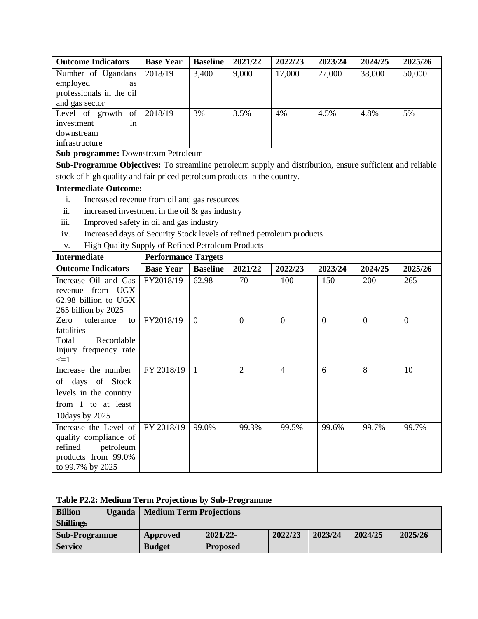| <b>Outcome Indicators</b>                                                                                 | <b>Base Year</b>           | <b>Baseline</b> | 2021/22        | 2022/23        | 2023/24        | 2024/25  | 2025/26      |
|-----------------------------------------------------------------------------------------------------------|----------------------------|-----------------|----------------|----------------|----------------|----------|--------------|
| Number of Ugandans                                                                                        | 2018/19                    | 3,400           | 9,000          | 17,000         | 27,000         | 38,000   | 50,000       |
| employed<br>as                                                                                            |                            |                 |                |                |                |          |              |
| professionals in the oil                                                                                  |                            |                 |                |                |                |          |              |
| and gas sector                                                                                            |                            |                 |                |                |                |          |              |
| Level of growth<br>of<br>investment<br>in                                                                 | 2018/19                    | 3%              | 3.5%           | 4%             | 4.5%           | 4.8%     | 5%           |
| downstream                                                                                                |                            |                 |                |                |                |          |              |
| infrastructure                                                                                            |                            |                 |                |                |                |          |              |
| Sub-programme: Downstream Petroleum                                                                       |                            |                 |                |                |                |          |              |
| Sub-Programme Objectives: To streamline petroleum supply and distribution, ensure sufficient and reliable |                            |                 |                |                |                |          |              |
| stock of high quality and fair priced petroleum products in the country.                                  |                            |                 |                |                |                |          |              |
| <b>Intermediate Outcome:</b>                                                                              |                            |                 |                |                |                |          |              |
| i.<br>Increased revenue from oil and gas resources                                                        |                            |                 |                |                |                |          |              |
| increased investment in the oil $&$ gas industry<br>ii.                                                   |                            |                 |                |                |                |          |              |
| Improved safety in oil and gas industry<br>iii.                                                           |                            |                 |                |                |                |          |              |
| Increased days of Security Stock levels of refined petroleum products<br>iv.                              |                            |                 |                |                |                |          |              |
| High Quality Supply of Refined Petroleum Products<br>V.                                                   |                            |                 |                |                |                |          |              |
| <b>Intermediate</b>                                                                                       | <b>Performance Targets</b> |                 |                |                |                |          |              |
| <b>Outcome Indicators</b>                                                                                 | <b>Base Year</b>           | <b>Baseline</b> | 2021/22        | 2022/23        | 2023/24        | 2024/25  | 2025/26      |
| Increase Oil and Gas                                                                                      | FY2018/19                  | 62.98           | 70             | 100            | 150            | 200      | 265          |
| from UGX<br>revenue                                                                                       |                            |                 |                |                |                |          |              |
| 62.98 billion to UGX                                                                                      |                            |                 |                |                |                |          |              |
| 265 billion by 2025                                                                                       |                            |                 |                |                |                |          |              |
| Zero<br>tolerance<br>to<br>fatalities                                                                     | FY2018/19                  | $\overline{0}$  | $\overline{0}$ | $\overline{0}$ | $\overline{0}$ | $\theta$ | $\mathbf{0}$ |
| Total<br>Recordable                                                                                       |                            |                 |                |                |                |          |              |
| Injury frequency rate                                                                                     |                            |                 |                |                |                |          |              |
| $\leq$ =1                                                                                                 |                            |                 |                |                |                |          |              |
| Increase the number                                                                                       | FY 2018/19                 | $\mathbf{1}$    | 2              | $\overline{4}$ | 6              | 8        | 10           |
| of days of Stock                                                                                          |                            |                 |                |                |                |          |              |
| levels in the country                                                                                     |                            |                 |                |                |                |          |              |
| from 1 to at least                                                                                        |                            |                 |                |                |                |          |              |
| 10days by 2025                                                                                            |                            |                 |                |                |                |          |              |
| Increase the Level of                                                                                     | FY 2018/19                 | 99.0%           | 99.3%          | 99.5%          | 99.6%          | 99.7%    | 99.7%        |
| quality compliance of                                                                                     |                            |                 |                |                |                |          |              |
| refined<br>petroleum                                                                                      |                            |                 |                |                |                |          |              |
|                                                                                                           |                            |                 |                |                |                |          |              |
| products from 99.0%                                                                                       |                            |                 |                |                |                |          |              |

| Table P2.2: Medium Term Projections by Sub-Programme |  |  |
|------------------------------------------------------|--|--|
|------------------------------------------------------|--|--|

| <b>Billion</b><br>Uganda | <b>Medium Term Projections</b> |                 |         |         |         |         |  |  |
|--------------------------|--------------------------------|-----------------|---------|---------|---------|---------|--|--|
| <b>Shillings</b>         |                                |                 |         |         |         |         |  |  |
| <b>Sub-Programme</b>     | <b>Approved</b>                | $2021/22$ -     | 2022/23 | 2023/24 | 2024/25 | 2025/26 |  |  |
| <b>Service</b>           | <b>Budget</b>                  | <b>Proposed</b> |         |         |         |         |  |  |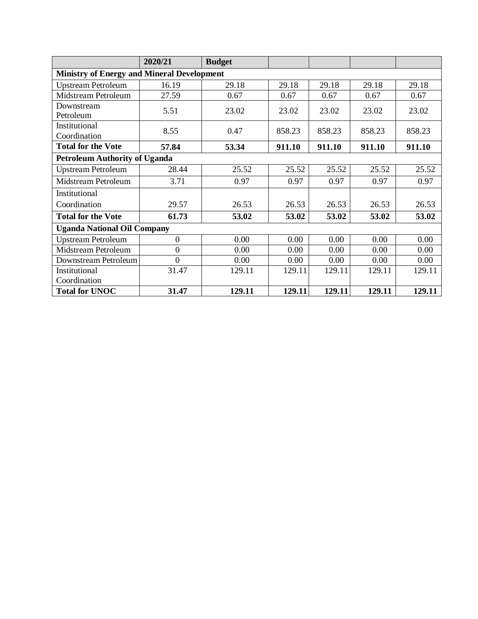|                                                   | 2020/21                              | <b>Budget</b> |        |        |        |        |  |  |  |  |
|---------------------------------------------------|--------------------------------------|---------------|--------|--------|--------|--------|--|--|--|--|
| <b>Ministry of Energy and Mineral Development</b> |                                      |               |        |        |        |        |  |  |  |  |
| <b>Upstream Petroleum</b>                         | 16.19                                | 29.18         | 29.18  | 29.18  | 29.18  | 29.18  |  |  |  |  |
| Midstream Petroleum                               | 27.59                                | 0.67          | 0.67   | 0.67   | 0.67   | 0.67   |  |  |  |  |
| Downstream                                        | 5.51                                 | 23.02         | 23.02  | 23.02  | 23.02  | 23.02  |  |  |  |  |
| Petroleum                                         |                                      |               |        |        |        |        |  |  |  |  |
| Institutional                                     | 8.55                                 | 0.47          | 858.23 | 858.23 | 858.23 | 858.23 |  |  |  |  |
| Coordination                                      |                                      |               |        |        |        |        |  |  |  |  |
| <b>Total for the Vote</b>                         | 57.84                                | 53.34         | 911.10 | 911.10 | 911.10 | 911.10 |  |  |  |  |
|                                                   | <b>Petroleum Authority of Uganda</b> |               |        |        |        |        |  |  |  |  |
| <b>Upstream Petroleum</b>                         | 28.44                                | 25.52         | 25.52  | 25.52  | 25.52  | 25.52  |  |  |  |  |
| Midstream Petroleum                               | 3.71                                 | 0.97          | 0.97   | 0.97   | 0.97   | 0.97   |  |  |  |  |
| Institutional                                     |                                      |               |        |        |        |        |  |  |  |  |
| Coordination                                      | 29.57                                | 26.53         | 26.53  | 26.53  | 26.53  | 26.53  |  |  |  |  |
| <b>Total for the Vote</b>                         | 61.73                                | 53.02         | 53.02  | 53.02  | 53.02  | 53.02  |  |  |  |  |
| <b>Uganda National Oil Company</b>                |                                      |               |        |        |        |        |  |  |  |  |
| <b>Upstream Petroleum</b>                         | $\mathbf{0}$                         | 0.00          | 0.00   | 0.00   | 0.00   | 0.00   |  |  |  |  |
| Midstream Petroleum                               | 0                                    | 0.00          | 0.00   | 0.00   | 0.00   | 0.00   |  |  |  |  |
| Downstream Petroleum                              | $\overline{0}$                       | 0.00          | 0.00   | 0.00   | 0.00   | 0.00   |  |  |  |  |
| Institutional                                     | 31.47                                | 129.11        | 129.11 | 129.11 | 129.11 | 129.11 |  |  |  |  |
| Coordination                                      |                                      |               |        |        |        |        |  |  |  |  |
| <b>Total for UNOC</b>                             | 31.47                                | 129.11        | 129.11 | 129.11 | 129.11 | 129.11 |  |  |  |  |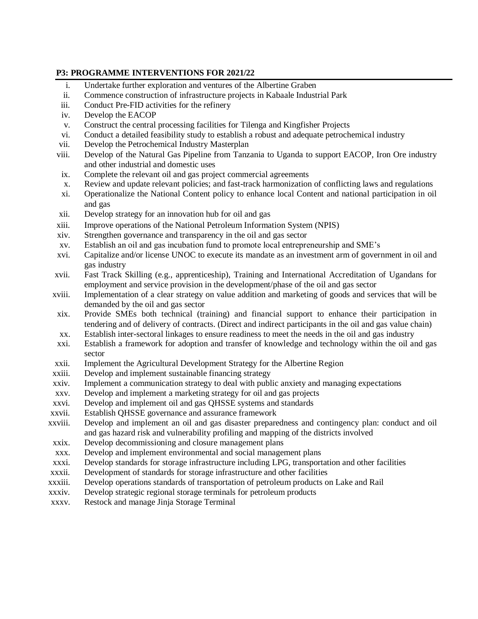# **P3: PROGRAMME INTERVENTIONS FOR 2021/22**

- i. Undertake further exploration and ventures of the Albertine Graben
- ii. Commence construction of infrastructure projects in Kabaale Industrial Park
- iii. Conduct Pre-FID activities for the refinery
- iv. Develop the EACOP
- v. Construct the central processing facilities for Tilenga and Kingfisher Projects
- vi. Conduct a detailed feasibility study to establish a robust and adequate petrochemical industry
- vii. Develop the Petrochemical Industry Masterplan
- viii. Develop of the Natural Gas Pipeline from Tanzania to Uganda to support EACOP, Iron Ore industry and other industrial and domestic uses
- ix. Complete the relevant oil and gas project commercial agreements
- x. Review and update relevant policies; and fast-track harmonization of conflicting laws and regulations
- xi. Operationalize the National Content policy to enhance local Content and national participation in oil and gas
- xii. Develop strategy for an innovation hub for oil and gas
- xiii. Improve operations of the National Petroleum Information System (NPIS)
- xiv. Strengthen governance and transparency in the oil and gas sector
- xv. Establish an oil and gas incubation fund to promote local entrepreneurship and SME's
- xvi. Capitalize and/or license UNOC to execute its mandate as an investment arm of government in oil and gas industry
- xvii. Fast Track Skilling (e.g., apprenticeship), Training and International Accreditation of Ugandans for employment and service provision in the development/phase of the oil and gas sector
- xviii. Implementation of a clear strategy on value addition and marketing of goods and services that will be demanded by the oil and gas sector
- xix. Provide SMEs both technical (training) and financial support to enhance their participation in tendering and of delivery of contracts. (Direct and indirect participants in the oil and gas value chain)
- xx. Establish inter-sectoral linkages to ensure readiness to meet the needs in the oil and gas industry
- xxi. Establish a framework for adoption and transfer of knowledge and technology within the oil and gas sector
- xxii. Implement the Agricultural Development Strategy for the Albertine Region
- xxiii. Develop and implement sustainable financing strategy
- xxiv. Implement a communication strategy to deal with public anxiety and managing expectations
- xxv. Develop and implement a marketing strategy for oil and gas projects
- xxvi. Develop and implement oil and gas QHSSE systems and standards
- xxvii. Establish QHSSE governance and assurance framework
- xxviii. Develop and implement an oil and gas disaster preparedness and contingency plan: conduct and oil and gas hazard risk and vulnerability profiling and mapping of the districts involved
- xxix. Develop decommissioning and closure management plans
- xxx. Develop and implement environmental and social management plans
- xxxi. Develop standards for storage infrastructure including LPG, transportation and other facilities
- xxxii. Development of standards for storage infrastructure and other facilities
- xxxiii. Develop operations standards of transportation of petroleum products on Lake and Rail
- xxxiv. Develop strategic regional storage terminals for petroleum products
- xxxv. Restock and manage Jinja Storage Terminal